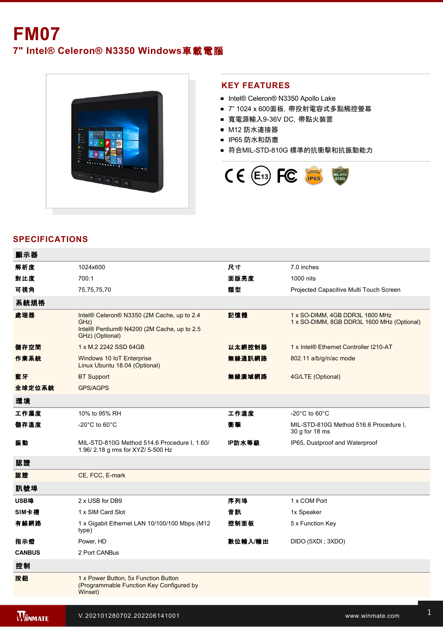**7" Intel® Celeron® N3350 Windows**車載電腦



## **KEY FEATURES**

- Intel® Celeron® N3350 Apollo Lake
- 7" 1024 x 600面板, 帶投射電容式多點觸控螢幕
- 寬電源輸入936V DC,帶點火裝置
- M12 防水連接器
- IP65 防水和防塵
- 符合MIL-STD-810G 標準的抗衝擊和抗振動能力



# **SPECIFICATIONS**

| 顯示器            |                                                                                                                      |         |                                                                               |
|----------------|----------------------------------------------------------------------------------------------------------------------|---------|-------------------------------------------------------------------------------|
| 解析度            | 1024x600                                                                                                             | 尺寸      | 7.0 inches                                                                    |
| 對比度            | 700:1                                                                                                                | 面版亮度    | 1000 nits                                                                     |
| 可視角            | 75,75,75,70                                                                                                          | 類型      | Projected Capacitive Multi Touch Screen                                       |
| 系統規格           |                                                                                                                      |         |                                                                               |
| 處理器            | Intel® Celeron® N3350 (2M Cache, up to 2.4<br>GHz)<br>Intel® Pentium® N4200 (2M Cache, up to 2.5)<br>GHz) (Optional) | 記憶體     | 1 x SO-DIMM, 4GB DDR3L 1600 MHz<br>1 x SO-DIMM, 8GB DDR3L 1600 MHz (Optional) |
| 儲存空間           | 1 x M.2 2242 SSD 64GB                                                                                                | 以太網控制器  | 1 x Intel® Ethernet Controller I210-AT                                        |
| 作業系統           | Windows 10 IoT Enterprise<br>Linux Ubuntu 18.04 (Optional)                                                           | 無線通訊網路  | 802.11 a/b/g/n/ac mode                                                        |
| 藍牙             | <b>BT Support</b>                                                                                                    | 無線廣域網路  | 4G/LTE (Optional)                                                             |
| 全球定位系統         | <b>GPS/AGPS</b>                                                                                                      |         |                                                                               |
| 環境             |                                                                                                                      |         |                                                                               |
| 工作濕度           | 10% to 95% RH                                                                                                        | 工作溫度    | -20 $^{\circ}$ C to 60 $^{\circ}$ C                                           |
| 儲存溫度           | -20 $^{\circ}$ C to 60 $^{\circ}$ C                                                                                  | 衝撃      | MIL-STD-810G Method 516.6 Procedure I,<br>30 g for 18 ms                      |
| 振動             | MIL-STD-810G Method 514.6 Procedure I, 1.60/<br>1.96/2.18 g rms for XYZ/ 5-500 Hz                                    | IP防水等級  | IP65, Dustproof and Waterproof                                                |
| 認證             |                                                                                                                      |         |                                                                               |
| 認證             | CE, FCC, E-mark                                                                                                      |         |                                                                               |
| 訊號埠            |                                                                                                                      |         |                                                                               |
| USB埠           | 2 x USB for DB9                                                                                                      | 序列埠     | 1 x COM Port                                                                  |
| SIM卡槽          | 1 x SIM Card Slot                                                                                                    | 音訊      | 1x Speaker                                                                    |
| 有線網路           | 1 x Gigabit Ethernet LAN 10/100/100 Mbps (M12<br>type)                                                               | 控制面板    | 5 x Function Key                                                              |
| 指示燈            | Power, HD                                                                                                            | 數位輸入/輸出 | DIDO (5XDI; 3XDO)                                                             |
| <b>CANBUS</b>  | 2 Port CANBus                                                                                                        |         |                                                                               |
| 控制             |                                                                                                                      |         |                                                                               |
| 按鈕             | 1 x Power Button, 5x Function Button<br>(Programmable Function Key Configured by<br>Winset)                          |         |                                                                               |
|                |                                                                                                                      |         |                                                                               |
| <b>WINMATE</b> | V.202101280702.202206141001                                                                                          |         | www.winmate.com                                                               |